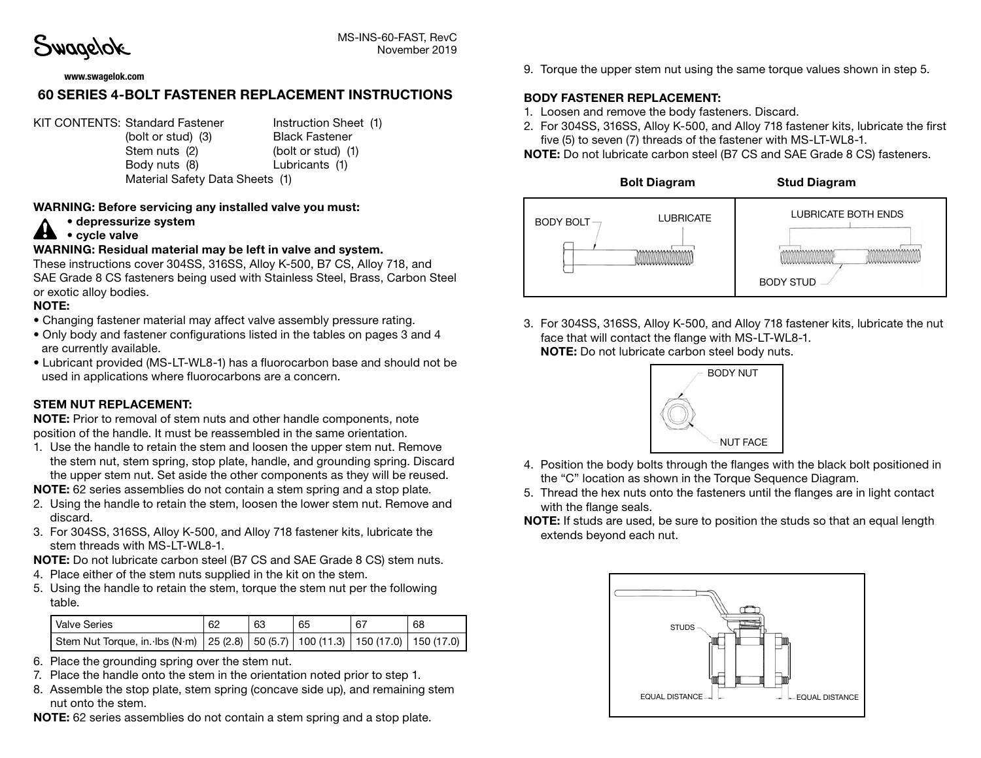Swagelok

MS-INS-60-FAST, RevC November 2019

#### www.swagelok.com

# 60 SERIES 4-BOLT FASTENER REPLACEMENT INSTRUCTIONS

KIT CONTENTS: Standard Fastener Instruction Sheet (1)

(bolt or stud) (3) Black Fastener Stem nuts (2) (bolt or stud) (1) Body nuts (8) Lubricants (1) Material Safety Data Sheets (1)

#### WARNING: Before servicing any installed valve you must:

• depressurize system

### $\blacktriangle$  • cycle valve

#### WARNING: Residual material may be left in valve and system.

These instructions cover 304SS, 316SS, Alloy K-500, B7 CS, Alloy 718, and SAE Grade 8 CS fasteners being used with Stainless Steel, Brass, Carbon Steel or exotic alloy bodies.

### NOTE:

- Changing fastener material may affect valve assembly pressure rating.
- Only body and fastener configurations listed in the tables on pages 3 and 4 are currently available.
- Lubricant provided (MS-LT-WL8-1) has a fluorocarbon base and should not be used in applications where fluorocarbons are a concern.

#### STEM NUT REPLACEMENT:

NOTE: Prior to removal of stem nuts and other handle components, note position of the handle. It must be reassembled in the same orientation.

1. Use the handle to retain the stem and loosen the upper stem nut. Remove the stem nut, stem spring, stop plate, handle, and grounding spring. Discard the upper stem nut. Set aside the other components as they will be reused.

NOTE: 62 series assemblies do not contain a stem spring and a stop plate.

- 2. Using the handle to retain the stem, loosen the lower stem nut. Remove and discard.
- 3. For 304SS, 316SS, Alloy K-500, and Alloy 718 fastener kits, lubricate the stem threads with MS-LT-WL8-1.

NOTE: Do not lubricate carbon steel (B7 CS and SAE Grade 8 CS) stem nuts.

- 4. Place either of the stem nuts supplied in the kit on the stem.
- 5. Using the handle to retain the stem, torque the stem nut per the following table.

| Valve Series                                                                                | 62 | 63 | 65 | 67 | 68 |
|---------------------------------------------------------------------------------------------|----|----|----|----|----|
| Stem Nut Torque, in. Ibs (N·m)   25 (2.8)   50 (5.7)   100 (11.3)   150 (17.0)   150 (17.0) |    |    |    |    |    |

- 6. Place the grounding spring over the stem nut.
- 7. Place the handle onto the stem in the orientation noted prior to step 1.
- 8. Assemble the stop plate, stem spring (concave side up), and remaining stem nut onto the stem.
- NOTE: 62 series assemblies do not contain a stem spring and a stop plate.

9. Torque the upper stem nut using the same torque values shown in step 5.

### BODY FASTENER REPLACEMENT:

- 1. Loosen and remove the body fasteners. Discard.
- 2. For 304SS, 316SS, Alloy K-500, and Alloy 718 fastener kits, lubricate the first five (5) to seven (7) threads of the fastener with MS-LT-WL8-1.

NOTE: Do not lubricate carbon steel (B7 CS and SAE Grade 8 CS) fasteners.



3. For 304SS, 316SS, Alloy K-500, and Alloy 718 fastener kits, lubricate the nut face that will contact the flange with MS-LT-WL8-1. NOTE: Do not lubricate carbon steel body nuts.



- 4. Position the body bolts through the flanges with the black bolt positioned in the "C" location as shown in the Torque Sequence Diagram.
- 5. Thread the hex nuts onto the fasteners until the flanges are in light contact with the flange seals.
- NOTE: If studs are used, be sure to position the studs so that an equal length extends beyond each nut.

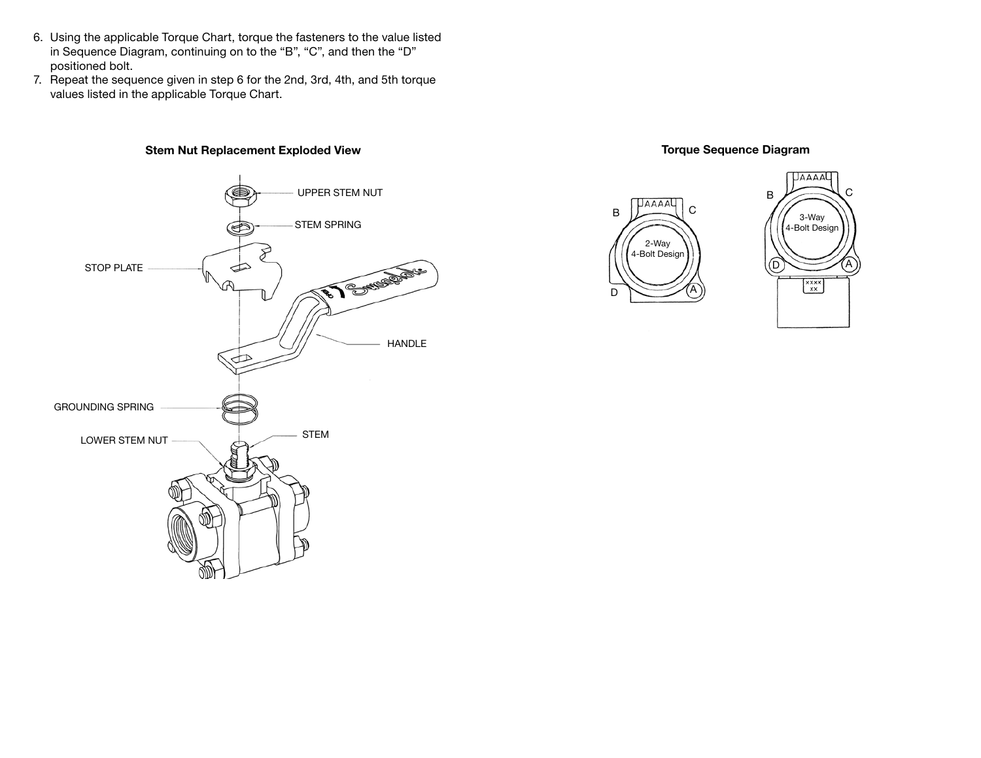- 6. Using the applicable Torque Chart, torque the fasteners to the value listed in Sequence Diagram, continuing on to the "B", "C", and then the "D" positioned bolt.
- 7. Repeat the sequence given in step 6 for the 2nd, 3rd, 4th, and 5th torque values listed in the applicable Torque Chart.

### Stem Nut Replacement Exploded View



 $\overline{C}$ 

3-Way

 $\begin{matrix} x \overline{x} \overline{x} \\ x \overline{x} \end{matrix}$ 

A





D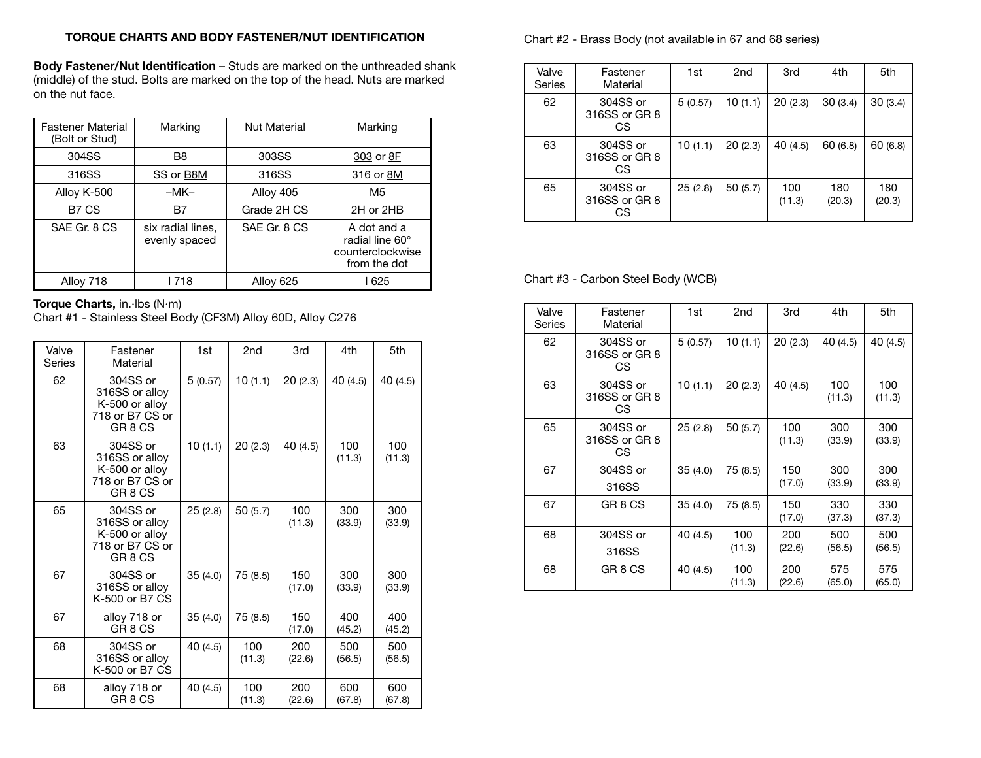### TORQUE CHARTS AND BODY FASTENER/NUT IDENTIFICATION

Body Fastener/Nut Identification – Studs are marked on the unthreaded shank (middle) of the stud. Bolts are marked on the top of the head. Nuts are marked on the nut face.

| <b>Fastener Material</b><br>(Bolt or Stud) | Marking                            | <b>Nut Material</b> | Marking                                                            |
|--------------------------------------------|------------------------------------|---------------------|--------------------------------------------------------------------|
| 304SS                                      | B8                                 | 303SS               | 303 or 8F                                                          |
| 316SS                                      | SS or B8M                          | 316SS               | 316 or 8M                                                          |
| Alloy K-500                                | $-MK-$                             | Alloy 405           | M5                                                                 |
| B7 CS                                      | B7                                 | Grade 2H CS         | 2H or 2HB                                                          |
| SAE Gr. 8 CS                               | six radial lines.<br>evenly spaced | SAE Gr. 8 CS        | A dot and a<br>radial line 60°<br>counterclockwise<br>from the dot |
| Alloy 718                                  | l 718                              | Alloy 625           | l 625                                                              |

# Torque Charts, in.·lbs (N·m)

Chart #1 - Stainless Steel Body (CF3M) Alloy 60D, Alloy C276

| Valve<br>Series | Fastener<br>Material                                                                  | 1st      | 2 <sub>nd</sub> | 3rd           | 4th           | 5th           |
|-----------------|---------------------------------------------------------------------------------------|----------|-----------------|---------------|---------------|---------------|
| 62              | 304SS or<br>316SS or alloy<br>K-500 or alloy<br>718 or B7 CS or<br>GR <sub>8</sub> CS | 5(0.57)  | 10(1.1)         | 20(2.3)       | 40 (4.5)      | 40 (4.5)      |
| 63              | 304SS or<br>316SS or alloy<br>K-500 or alloy<br>718 or B7 CS or<br>GR 8 CS            | 10(1.1)  | 20(2.3)         | 40 (4.5)      | 100<br>(11.3) | 100<br>(11.3) |
| 65              | 304SS or<br>316SS or alloy<br>K-500 or alloy<br>718 or B7 CS or<br>GR 8 CS            | 25(2.8)  | 50(5.7)         | 100<br>(11.3) | 300<br>(33.9) | 300<br>(33.9) |
| 67              | 304SS or<br>316SS or alloy<br>K-500 or B7 CS                                          | 35(4.0)  | 75 (8.5)        | 150<br>(17.0) | 300<br>(33.9) | 300<br>(33.9) |
| 67              | alloy 718 or<br>GR 8 CS                                                               | 35(4.0)  | 75 (8.5)        | 150<br>(17.0) | 400<br>(45.2) | 400<br>(45.2) |
| 68              | 304SS or<br>316SS or alloy<br>K-500 or B7 CS                                          | 40 (4.5) | 100<br>(11.3)   | 200<br>(22.6) | 500<br>(56.5) | 500<br>(56.5) |
| 68              | alloy 718 or<br>GR <sub>8</sub> CS                                                    | 40 (4.5) | 100<br>(11.3)   | 200<br>(22.6) | 600<br>(67.8) | 600<br>(67.8) |

#### Chart #2 - Brass Body (not available in 67 and 68 series)

| Valve<br><b>Series</b> | Fastener<br>Material             | 1st      | 2nd     | 3rd           | 4th           | 5th           |
|------------------------|----------------------------------|----------|---------|---------------|---------------|---------------|
| 62                     | 304SS or<br>316SS or GR 8<br>CS. | 5(0.57)  | 10(1.1) | 20(2.3)       | 30(3.4)       | 30(3.4)       |
| 63                     | 304SS or<br>316SS or GR 8<br>CS. | 10 (1.1) | 20(2.3) | 40(4.5)       | 60(6.8)       | 60(6.8)       |
| 65                     | 304SS or<br>316SS or GR 8<br>СS  | 25(2.8)  | 50(5.7) | 100<br>(11.3) | 180<br>(20.3) | 180<br>(20.3) |

# Chart #3 - Carbon Steel Body (WCB)

| Valve<br>Series | Fastener<br>Material            | 1st      | 2nd           | 3rd           | 4th           | 5th           |
|-----------------|---------------------------------|----------|---------------|---------------|---------------|---------------|
| 62              | 304SS or<br>316SS or GR 8<br>СS | 5(0.57)  | 10(1.1)       | 20(2.3)       | 40 (4.5)      | 40 (4.5)      |
| 63              | 304SS or<br>316SS or GR 8<br>СS | 10(1.1)  | 20(2.3)       | 40 (4.5)      | 100<br>(11.3) | 100<br>(11.3) |
| 65              | 304SS or<br>316SS or GR 8<br>СS | 25(2.8)  | 50(5.7)       | 100<br>(11.3) | 300<br>(33.9) | 300<br>(33.9) |
| 67              | 304SS or<br>316SS               | 35(4.0)  | 75 (8.5)      | 150<br>(17.0) | 300<br>(33.9) | 300<br>(33.9) |
| 67              | GR <sub>8</sub> CS              | 35(4.0)  | 75 (8.5)      | 150<br>(17.0) | 330<br>(37.3) | 330<br>(37.3) |
| 68              | 304SS or<br>316SS               | 40 (4.5) | 100<br>(11.3) | 200<br>(22.6) | 500<br>(56.5) | 500<br>(56.5) |
| 68              | GR 8 CS                         | 40 (4.5) | 100<br>(11.3) | 200<br>(22.6) | 575<br>(65.0) | 575<br>(65.0) |